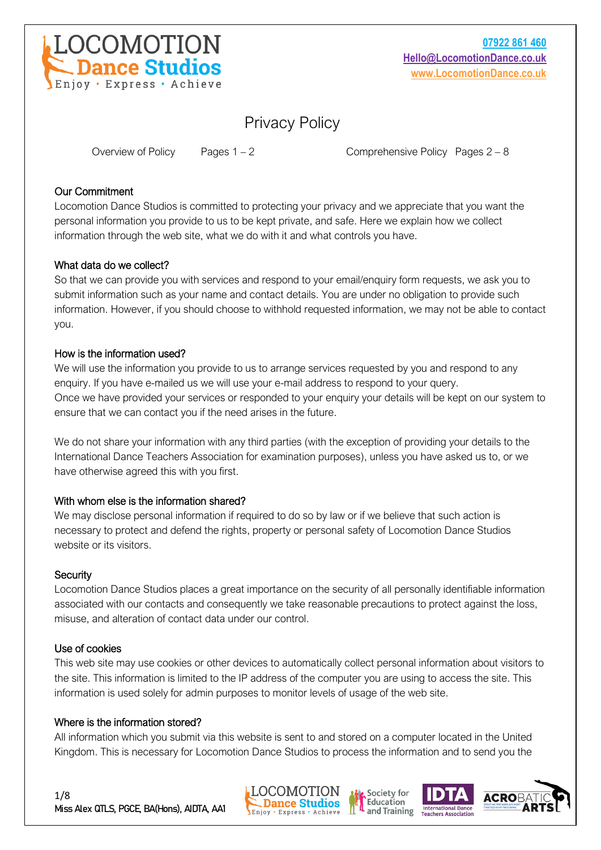

# Privacy Policy

Overview of Policy Pages  $1 - 2$  Comprehensive Policy Pages  $2 - 8$ 

#### Our Commitment

Locomotion Dance Studios is committed to protecting your privacy and we appreciate that you want the personal information you provide to us to be kept private, and safe. Here we explain how we collect information through the web site, what we do with it and what controls you have.

#### What data do we collect?

So that we can provide you with services and respond to your email/enquiry form requests, we ask you to submit information such as your name and contact details. You are under no obligation to provide such information. However, if you should choose to withhold requested information, we may not be able to contact you.

#### How is the information used?

We will use the information you provide to us to arrange services requested by you and respond to any enquiry. If you have e-mailed us we will use your e-mail address to respond to your query. Once we have provided your services or responded to your enquiry your details will be kept on our system to ensure that we can contact you if the need arises in the future.

We do not share your information with any third parties (with the exception of providing your details to the International Dance Teachers Association for examination purposes), unless you have asked us to, or we have otherwise agreed this with you first.

#### With whom else is the information shared?

We may disclose personal information if required to do so by law or if we believe that such action is necessary to protect and defend the rights, property or personal safety of Locomotion Dance Studios website or its visitors.

#### **Security**

Locomotion Dance Studios places a great importance on the security of all personally identifiable information associated with our contacts and consequently we take reasonable precautions to protect against the loss, misuse, and alteration of contact data under our control.

#### Use of cookies

This web site may use cookies or other devices to automatically collect personal information about visitors to the site. This information is limited to the IP address of the computer you are using to access the site. This information is used solely for admin purposes to monitor levels of usage of the web site.

#### Where is the information stored?

All information which you submit via this website is sent to and stored on a computer located in the United Kingdom. This is necessary for Locomotion Dance Studios to process the information and to send you the







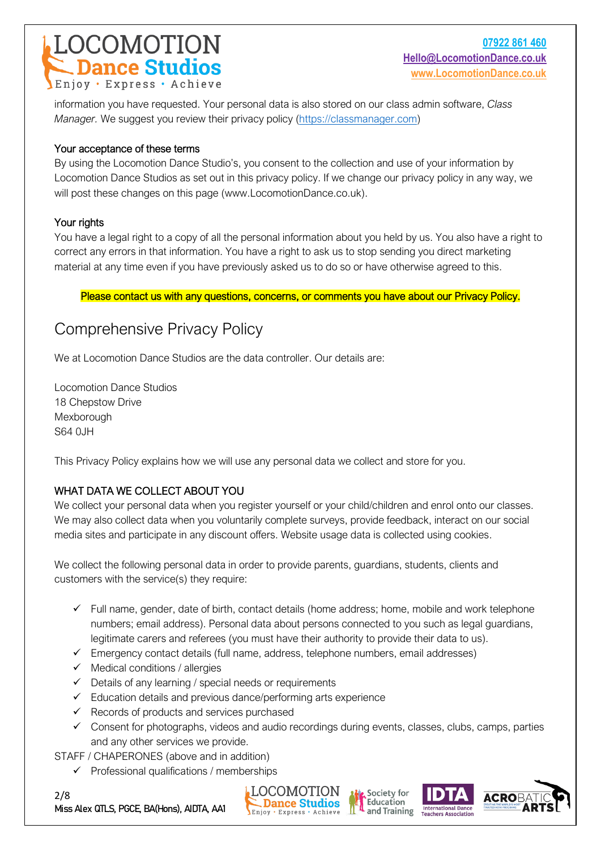# **COMOTION**<br>- Dance Studios Enjoy · Express · Achieve

information you have requested. Your personal data is also stored on our class admin software, *Class Manager.* We suggest you review their privacy policy [\(https://classmanager.com\)](https://classmanager.com/)

### Your acceptance of these terms

By using the Locomotion Dance Studio's, you consent to the collection and use of your information by Locomotion Dance Studios as set out in this privacy policy. If we change our privacy policy in any way, we will post these changes on this page (www.LocomotionDance.co.uk).

## Your rights

You have a legal right to a copy of all the personal information about you held by us. You also have a right to correct any errors in that information. You have a right to ask us to stop sending you direct marketing material at any time even if you have previously asked us to do so or have otherwise agreed to this.

## Please contact us with any questions, concerns, or comments you have about our Privacy Policy.

# Comprehensive Privacy Policy

We at Locomotion Dance Studios are the data controller. Our details are:

Locomotion Dance Studios 18 Chepstow Drive Mexborough S64 0JH

This Privacy Policy explains how we will use any personal data we collect and store for you.

# WHAT DATA WE COLLECT ABOUT YOU

We collect your personal data when you register yourself or your child/children and enrol onto our classes. We may also collect data when you voluntarily complete surveys, provide feedback, interact on our social media sites and participate in any discount offers. Website usage data is collected using cookies.

We collect the following personal data in order to provide parents, guardians, students, clients and customers with the service(s) they require:

- ✓ Full name, gender, date of birth, contact details (home address; home, mobile and work telephone numbers; email address). Personal data about persons connected to you such as legal guardians, legitimate carers and referees (you must have their authority to provide their data to us).
- $\checkmark$  Emergency contact details (full name, address, telephone numbers, email addresses)
- $\checkmark$  Medical conditions / allergies
- $\checkmark$  Details of any learning / special needs or requirements
- ✓ Education details and previous dance/performing arts experience
- $\checkmark$  Records of products and services purchased
- ✓ Consent for photographs, videos and audio recordings during events, classes, clubs, camps, parties and any other services we provide.

STAFF / CHAPERONES (above and in addition)

 $\checkmark$  Professional qualifications / memberships









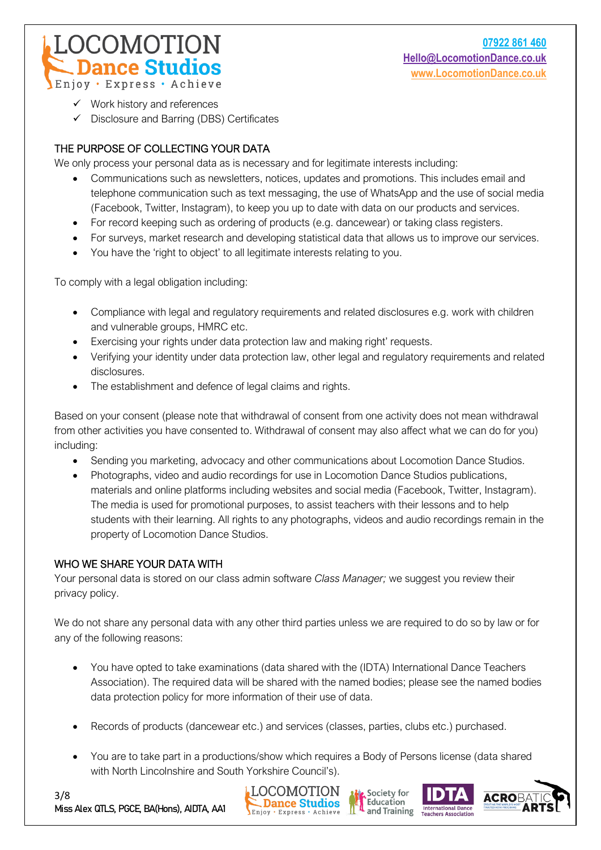$\checkmark$  Work history and references

**DCOMOTION** 

**Dance Studios** 

✓ Disclosure and Barring (DBS) Certificates

# THE PURPOSE OF COLLECTING YOUR DATA

We only process your personal data as is necessary and for legitimate interests including:

- Communications such as newsletters, notices, updates and promotions. This includes email and telephone communication such as text messaging, the use of WhatsApp and the use of social media (Facebook, Twitter, Instagram), to keep you up to date with data on our products and services.
- For record keeping such as ordering of products (e.g. dancewear) or taking class registers.
- For surveys, market research and developing statistical data that allows us to improve our services.
- You have the 'right to object' to all legitimate interests relating to you.

To comply with a legal obligation including:

- Compliance with legal and regulatory requirements and related disclosures e.g. work with children and vulnerable groups, HMRC etc.
- Exercising your rights under data protection law and making right' requests.
- Verifying your identity under data protection law, other legal and regulatory requirements and related disclosures.
- The establishment and defence of legal claims and rights.

Based on your consent (please note that withdrawal of consent from one activity does not mean withdrawal from other activities you have consented to. Withdrawal of consent may also affect what we can do for you) including:

- Sending you marketing, advocacy and other communications about Locomotion Dance Studios.
- Photographs, video and audio recordings for use in Locomotion Dance Studios publications, materials and online platforms including websites and social media (Facebook, Twitter, Instagram). The media is used for promotional purposes, to assist teachers with their lessons and to help students with their learning. All rights to any photographs, videos and audio recordings remain in the property of Locomotion Dance Studios.

#### WHO WE SHARE YOUR DATA WITH

Your personal data is stored on our class admin software *Class Manager;* we suggest you review their privacy policy.

We do not share any personal data with any other third parties unless we are required to do so by law or for any of the following reasons:

- You have opted to take examinations (data shared with the (IDTA) International Dance Teachers Association). The required data will be shared with the named bodies; please see the named bodies data protection policy for more information of their use of data.
- Records of products (dancewear etc.) and services (classes, parties, clubs etc.) purchased.
- You are to take part in a productions/show which requires a Body of Persons license (data shared with North Lincolnshire and South Yorkshire Council's).





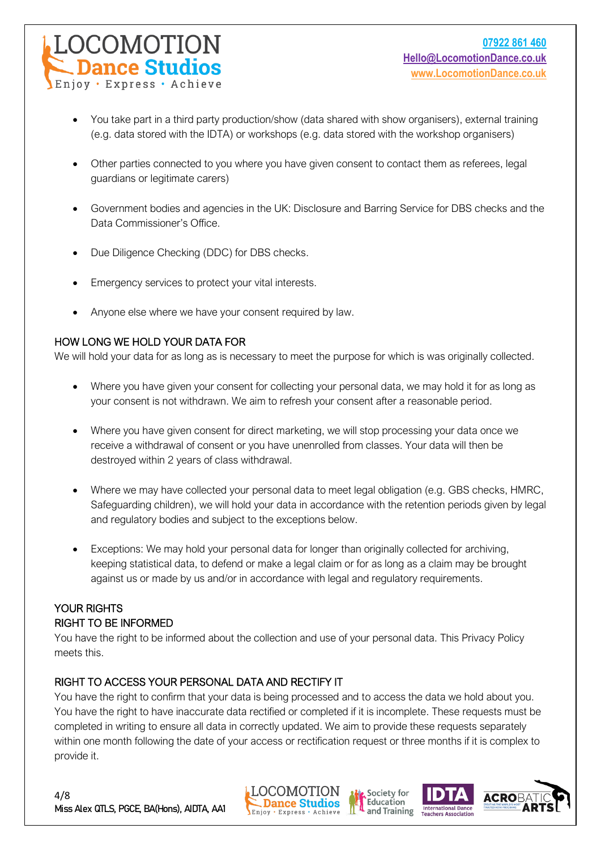- You take part in a third party production/show (data shared with show organisers), external training (e.g. data stored with the IDTA) or workshops (e.g. data stored with the workshop organisers)
- Other parties connected to you where you have given consent to contact them as referees, legal guardians or legitimate carers)
- Government bodies and agencies in the UK: Disclosure and Barring Service for DBS checks and the Data Commissioner's Office.
- Due Diligence Checking (DDC) for DBS checks.
- Emergency services to protect your vital interests.
- Anyone else where we have your consent required by law.

# HOW LONG WE HOLD YOUR DATA FOR

We will hold your data for as long as is necessary to meet the purpose for which is was originally collected.

- Where you have given your consent for collecting your personal data, we may hold it for as long as your consent is not withdrawn. We aim to refresh your consent after a reasonable period.
- Where you have given consent for direct marketing, we will stop processing your data once we receive a withdrawal of consent or you have unenrolled from classes. Your data will then be destroyed within 2 years of class withdrawal.
- Where we may have collected your personal data to meet legal obligation (e.g. GBS checks, HMRC, Safeguarding children), we will hold your data in accordance with the retention periods given by legal and regulatory bodies and subject to the exceptions below.
- Exceptions: We may hold your personal data for longer than originally collected for archiving, keeping statistical data, to defend or make a legal claim or for as long as a claim may be brought against us or made by us and/or in accordance with legal and regulatory requirements.

# YOUR RIGHTS RIGHT TO BE INFORMED

You have the right to be informed about the collection and use of your personal data. This Privacy Policy meets this.

# RIGHT TO ACCESS YOUR PERSONAL DATA AND RECTIFY IT

You have the right to confirm that your data is being processed and to access the data we hold about you. You have the right to have inaccurate data rectified or completed if it is incomplete. These requests must be completed in writing to ensure all data in correctly updated. We aim to provide these requests separately within one month following the date of your access or rectification request or three months if it is complex to provide it.







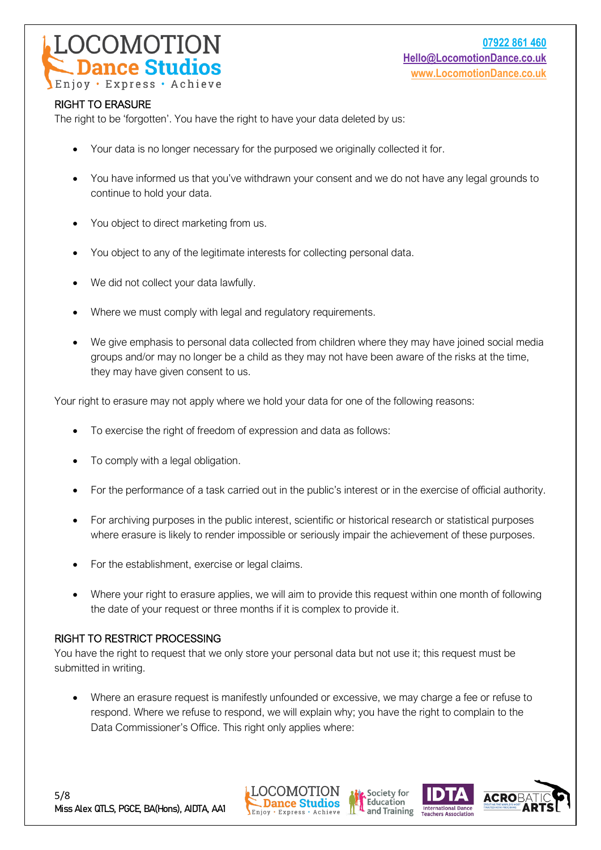

#### RIGHT TO ERASURE

The right to be 'forgotten'. You have the right to have your data deleted by us:

- Your data is no longer necessary for the purposed we originally collected it for.
- You have informed us that you've withdrawn your consent and we do not have any legal grounds to continue to hold your data.
- You object to direct marketing from us.
- You object to any of the legitimate interests for collecting personal data.
- We did not collect your data lawfully.
- Where we must comply with legal and regulatory requirements.
- We give emphasis to personal data collected from children where they may have joined social media groups and/or may no longer be a child as they may not have been aware of the risks at the time, they may have given consent to us.

Your right to erasure may not apply where we hold your data for one of the following reasons:

- To exercise the right of freedom of expression and data as follows:
- To comply with a legal obligation.
- For the performance of a task carried out in the public's interest or in the exercise of official authority.
- For archiving purposes in the public interest, scientific or historical research or statistical purposes where erasure is likely to render impossible or seriously impair the achievement of these purposes.
- For the establishment, exercise or legal claims.
- Where your right to erasure applies, we will aim to provide this request within one month of following the date of your request or three months if it is complex to provide it.

#### RIGHT TO RESTRICT PROCESSING

You have the right to request that we only store your personal data but not use it; this request must be submitted in writing.

• Where an erasure request is manifestly unfounded or excessive, we may charge a fee or refuse to respond. Where we refuse to respond, we will explain why; you have the right to complain to the Data Commissioner's Office. This right only applies where:







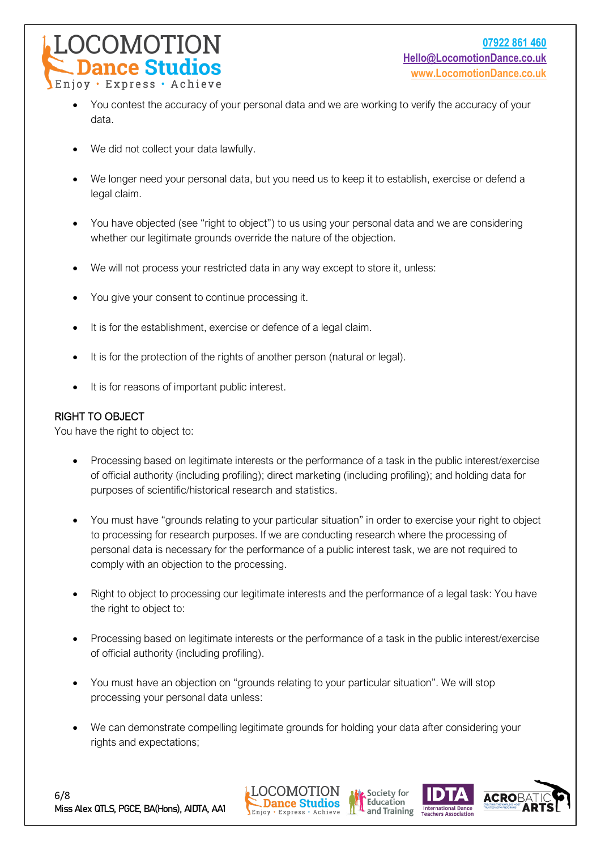

- You contest the accuracy of your personal data and we are working to verify the accuracy of your data.
- We did not collect your data lawfully.
- We longer need your personal data, but you need us to keep it to establish, exercise or defend a legal claim.
- You have objected (see "right to object") to us using your personal data and we are considering whether our legitimate grounds override the nature of the objection.
- We will not process your restricted data in any way except to store it, unless:
- You give your consent to continue processing it.
- It is for the establishment, exercise or defence of a legal claim.
- It is for the protection of the rights of another person (natural or legal).
- It is for reasons of important public interest.

#### RIGHT TO OBJECT

You have the right to object to:

- Processing based on legitimate interests or the performance of a task in the public interest/exercise of official authority (including profiling); direct marketing (including profiling); and holding data for purposes of scientific/historical research and statistics.
- You must have "grounds relating to your particular situation" in order to exercise your right to object to processing for research purposes. If we are conducting research where the processing of personal data is necessary for the performance of a public interest task, we are not required to comply with an objection to the processing.
- Right to object to processing our legitimate interests and the performance of a legal task: You have the right to object to:
- Processing based on legitimate interests or the performance of a task in the public interest/exercise of official authority (including profiling).
- You must have an objection on "grounds relating to your particular situation". We will stop processing your personal data unless:
- We can demonstrate compelling legitimate grounds for holding your data after considering your rights and expectations;







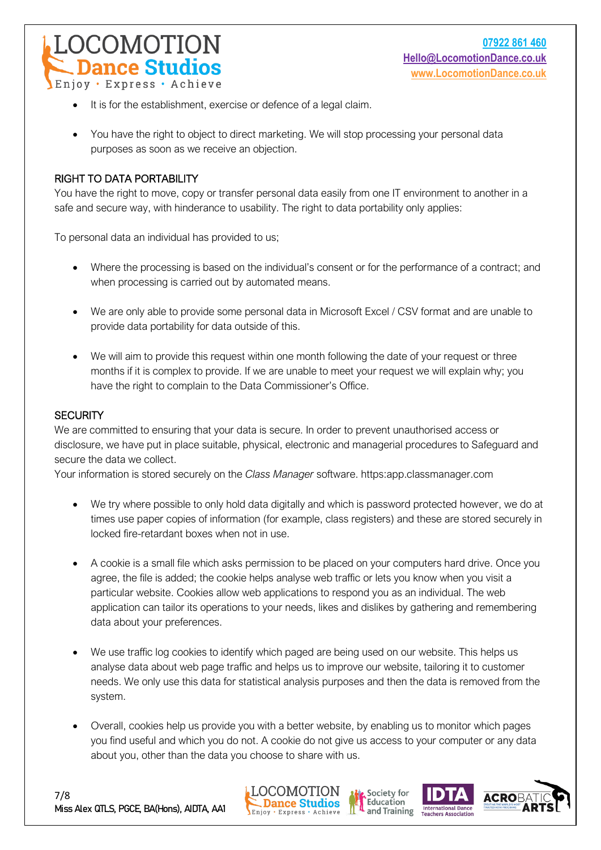

- It is for the establishment, exercise or defence of a legal claim.
- You have the right to object to direct marketing. We will stop processing your personal data purposes as soon as we receive an objection.

#### RIGHT TO DATA PORTABILITY

You have the right to move, copy or transfer personal data easily from one IT environment to another in a safe and secure way, with hinderance to usability. The right to data portability only applies:

To personal data an individual has provided to us;

- Where the processing is based on the individual's consent or for the performance of a contract; and when processing is carried out by automated means.
- We are only able to provide some personal data in Microsoft Excel / CSV format and are unable to provide data portability for data outside of this.
- We will aim to provide this request within one month following the date of your request or three months if it is complex to provide. If we are unable to meet your request we will explain why; you have the right to complain to the Data Commissioner's Office.

#### **SECURITY**

We are committed to ensuring that your data is secure. In order to prevent unauthorised access or disclosure, we have put in place suitable, physical, electronic and managerial procedures to Safeguard and secure the data we collect.

Your information is stored securely on the *Class Manager* software. https:app.classmanager.com

- We try where possible to only hold data digitally and which is password protected however, we do at times use paper copies of information (for example, class registers) and these are stored securely in locked fire-retardant boxes when not in use.
- A cookie is a small file which asks permission to be placed on your computers hard drive. Once you agree, the file is added; the cookie helps analyse web traffic or lets you know when you visit a particular website. Cookies allow web applications to respond you as an individual. The web application can tailor its operations to your needs, likes and dislikes by gathering and remembering data about your preferences.
- We use traffic log cookies to identify which paged are being used on our website. This helps us analyse data about web page traffic and helps us to improve our website, tailoring it to customer needs. We only use this data for statistical analysis purposes and then the data is removed from the system.
- Overall, cookies help us provide you with a better website, by enabling us to monitor which pages you find useful and which you do not. A cookie do not give us access to your computer or any data about you, other than the data you choose to share with us.